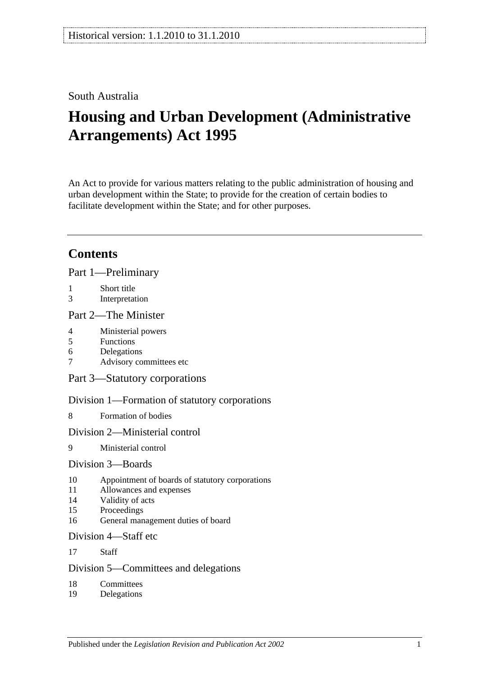## South Australia

# **Housing and Urban Development (Administrative Arrangements) Act 1995**

An Act to provide for various matters relating to the public administration of housing and urban development within the State; to provide for the creation of certain bodies to facilitate development within the State; and for other purposes.

## **Contents**

[Part 1—Preliminary](#page-1-0)

- 1 [Short title](#page-1-1)
- 3 [Interpretation](#page-2-0)

#### [Part 2—The Minister](#page-3-0)

- 4 [Ministerial powers](#page-3-1)
- 5 [Functions](#page-3-2)
- 6 [Delegations](#page-4-0)
- 7 [Advisory committees etc](#page-5-0)

[Part 3—Statutory corporations](#page-5-1)

[Division 1—Formation of statutory corporations](#page-5-2)

8 [Formation of bodies](#page-5-3)

#### [Division 2—Ministerial control](#page-6-0)

9 [Ministerial control](#page-6-1)

#### [Division 3—Boards](#page-6-2)

- 10 [Appointment of boards of statutory corporations](#page-6-3)
- 11 [Allowances and expenses](#page-7-0)
- 14 [Validity of acts](#page-7-1)
- 15 [Proceedings](#page-7-2)
- 16 [General management duties of board](#page-8-0)

#### [Division 4—Staff etc](#page-9-0)

17 [Staff](#page-9-1)

### [Division 5—Committees and delegations](#page-9-2)

- 18 [Committees](#page-9-3)
- 19 [Delegations](#page-9-4)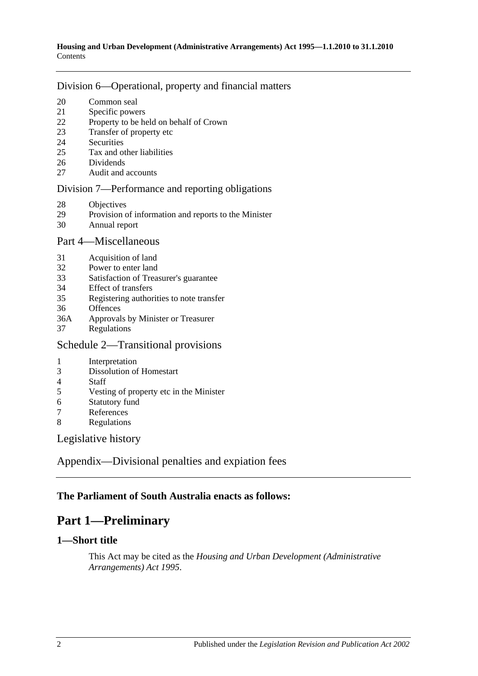#### [Division 6—Operational, property and financial matters](#page-10-0)

- [Common seal](#page-10-1)
- [Specific powers](#page-10-2)
- [Property to be held on behalf of Crown](#page-11-0)
- [Transfer of property etc](#page-11-1)
- [Securities](#page-11-2)
- [Tax and other liabilities](#page-12-0)
- [Dividends](#page-12-1)
- [Audit and accounts](#page-13-0)

#### [Division 7—Performance and reporting obligations](#page-13-1)

- [Objectives](#page-13-2)
- [Provision of information and reports to the Minister](#page-14-0)
- [Annual report](#page-14-1)

#### [Part 4—Miscellaneous](#page-14-2)

- [Acquisition of land](#page-14-3)
- [Power to enter land](#page-14-4)
- [Satisfaction of Treasurer's guarantee](#page-15-0)
- [Effect of transfers](#page-15-1)
- [Registering authorities to note transfer](#page-15-2)
- [Offences](#page-15-3)
- 36A Approvals by [Minister or Treasurer](#page-15-4)
- [Regulations](#page-15-5)

## [Schedule 2—Transitional provisions](#page-16-0)

- [Interpretation](#page-16-1)
- [Dissolution of Homestart](#page-16-2)
- [Staff](#page-16-3)<br>5 Vesti
- [Vesting of property etc in the Minister](#page-17-0)
- [Statutory fund](#page-17-1)
- [References](#page-17-2)
- [Regulations](#page-17-3)

[Legislative history](#page-18-0)

[Appendix—Divisional penalties and expiation fees](#page-20-0)

## <span id="page-1-0"></span>**The Parliament of South Australia enacts as follows:**

## **Part 1—Preliminary**

### <span id="page-1-1"></span>**1—Short title**

This Act may be cited as the *Housing and Urban Development (Administrative Arrangements) Act 1995*.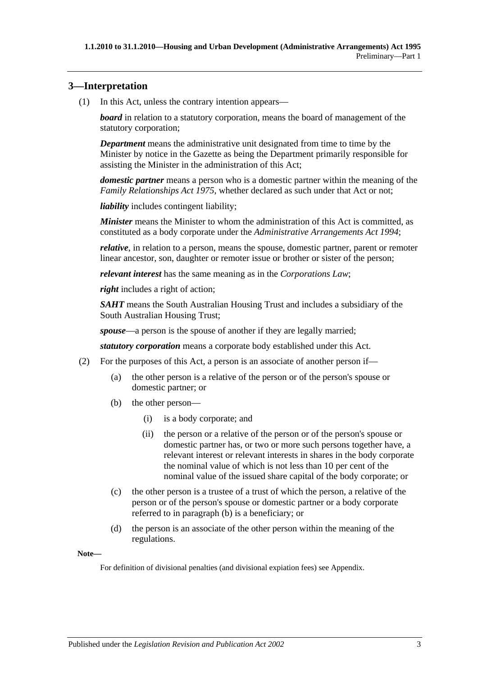### <span id="page-2-0"></span>**3—Interpretation**

(1) In this Act, unless the contrary intention appears—

*board* in relation to a statutory corporation, means the board of management of the statutory corporation;

*Department* means the administrative unit designated from time to time by the Minister by notice in the Gazette as being the Department primarily responsible for assisting the Minister in the administration of this Act;

*domestic partner* means a person who is a domestic partner within the meaning of the *[Family Relationships Act](http://www.legislation.sa.gov.au/index.aspx?action=legref&type=act&legtitle=Family%20Relationships%20Act%201975) 1975*, whether declared as such under that Act or not;

*liability* includes contingent liability;

*Minister* means the Minister to whom the administration of this Act is committed, as constituted as a body corporate under the *[Administrative Arrangements Act](http://www.legislation.sa.gov.au/index.aspx?action=legref&type=act&legtitle=Administrative%20Arrangements%20Act%201994) 1994*;

*relative*, in relation to a person, means the spouse, domestic partner, parent or remoter linear ancestor, son, daughter or remoter issue or brother or sister of the person;

*relevant interest* has the same meaning as in the *Corporations Law*;

*right* includes a right of action;

*SAHT* means the South Australian Housing Trust and includes a subsidiary of the South Australian Housing Trust;

*spouse*—a person is the spouse of another if they are legally married;

*statutory corporation* means a corporate body established under this Act.

- <span id="page-2-1"></span>(2) For the purposes of this Act, a person is an associate of another person if—
	- (a) the other person is a relative of the person or of the person's spouse or domestic partner; or
	- (b) the other person—
		- (i) is a body corporate; and
		- (ii) the person or a relative of the person or of the person's spouse or domestic partner has, or two or more such persons together have, a relevant interest or relevant interests in shares in the body corporate the nominal value of which is not less than 10 per cent of the nominal value of the issued share capital of the body corporate; or
	- (c) the other person is a trustee of a trust of which the person, a relative of the person or of the person's spouse or domestic partner or a body corporate referred to in [paragraph](#page-2-1) (b) is a beneficiary; or
	- (d) the person is an associate of the other person within the meaning of the regulations.

**Note—**

For definition of divisional penalties (and divisional expiation fees) see Appendix.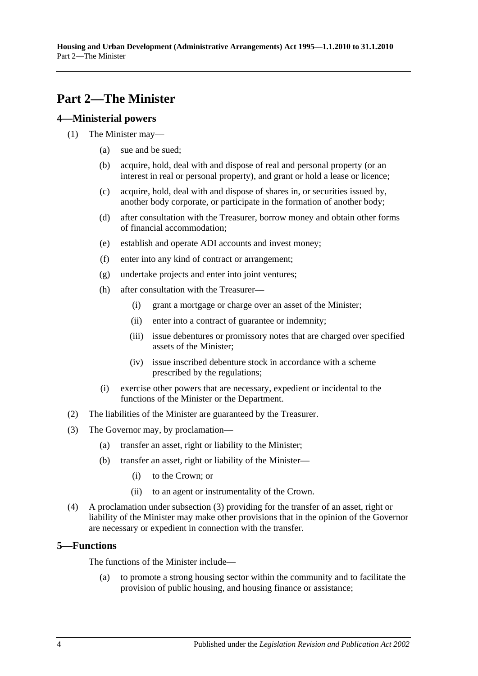## <span id="page-3-0"></span>**Part 2—The Minister**

#### <span id="page-3-1"></span>**4—Ministerial powers**

- (1) The Minister may—
	- (a) sue and be sued;
	- (b) acquire, hold, deal with and dispose of real and personal property (or an interest in real or personal property), and grant or hold a lease or licence;
	- (c) acquire, hold, deal with and dispose of shares in, or securities issued by, another body corporate, or participate in the formation of another body;
	- (d) after consultation with the Treasurer, borrow money and obtain other forms of financial accommodation;
	- (e) establish and operate ADI accounts and invest money;
	- (f) enter into any kind of contract or arrangement;
	- (g) undertake projects and enter into joint ventures;
	- (h) after consultation with the Treasurer—
		- (i) grant a mortgage or charge over an asset of the Minister;
		- (ii) enter into a contract of guarantee or indemnity;
		- (iii) issue debentures or promissory notes that are charged over specified assets of the Minister;
		- (iv) issue inscribed debenture stock in accordance with a scheme prescribed by the regulations;
	- (i) exercise other powers that are necessary, expedient or incidental to the functions of the Minister or the Department.
- (2) The liabilities of the Minister are guaranteed by the Treasurer.
- <span id="page-3-3"></span>(3) The Governor may, by proclamation—
	- (a) transfer an asset, right or liability to the Minister;
	- (b) transfer an asset, right or liability of the Minister—
		- (i) to the Crown; or
		- (ii) to an agent or instrumentality of the Crown.
- (4) A proclamation under [subsection](#page-3-3) (3) providing for the transfer of an asset, right or liability of the Minister may make other provisions that in the opinion of the Governor are necessary or expedient in connection with the transfer.

### <span id="page-3-2"></span>**5—Functions**

The functions of the Minister include—

(a) to promote a strong housing sector within the community and to facilitate the provision of public housing, and housing finance or assistance;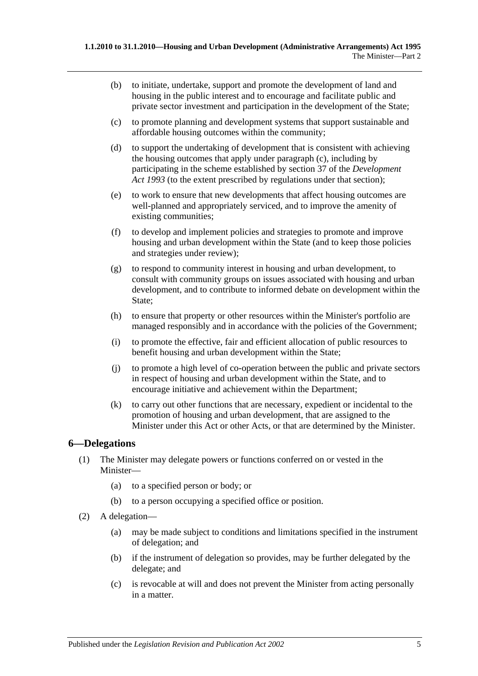- (b) to initiate, undertake, support and promote the development of land and housing in the public interest and to encourage and facilitate public and private sector investment and participation in the development of the State;
- <span id="page-4-1"></span>(c) to promote planning and development systems that support sustainable and affordable housing outcomes within the community;
- (d) to support the undertaking of development that is consistent with achieving the housing outcomes that apply under [paragraph](#page-4-1) (c), including by participating in the scheme established by section 37 of the *[Development](http://www.legislation.sa.gov.au/index.aspx?action=legref&type=act&legtitle=Development%20Act%201993)  Act [1993](http://www.legislation.sa.gov.au/index.aspx?action=legref&type=act&legtitle=Development%20Act%201993)* (to the extent prescribed by regulations under that section);
- (e) to work to ensure that new developments that affect housing outcomes are well-planned and appropriately serviced, and to improve the amenity of existing communities;
- (f) to develop and implement policies and strategies to promote and improve housing and urban development within the State (and to keep those policies and strategies under review);
- (g) to respond to community interest in housing and urban development, to consult with community groups on issues associated with housing and urban development, and to contribute to informed debate on development within the State;
- (h) to ensure that property or other resources within the Minister's portfolio are managed responsibly and in accordance with the policies of the Government;
- (i) to promote the effective, fair and efficient allocation of public resources to benefit housing and urban development within the State;
- (j) to promote a high level of co-operation between the public and private sectors in respect of housing and urban development within the State, and to encourage initiative and achievement within the Department;
- (k) to carry out other functions that are necessary, expedient or incidental to the promotion of housing and urban development, that are assigned to the Minister under this Act or other Acts, or that are determined by the Minister.

### <span id="page-4-0"></span>**6—Delegations**

- (1) The Minister may delegate powers or functions conferred on or vested in the Minister—
	- (a) to a specified person or body; or
	- (b) to a person occupying a specified office or position.
- (2) A delegation—
	- (a) may be made subject to conditions and limitations specified in the instrument of delegation; and
	- (b) if the instrument of delegation so provides, may be further delegated by the delegate; and
	- (c) is revocable at will and does not prevent the Minister from acting personally in a matter.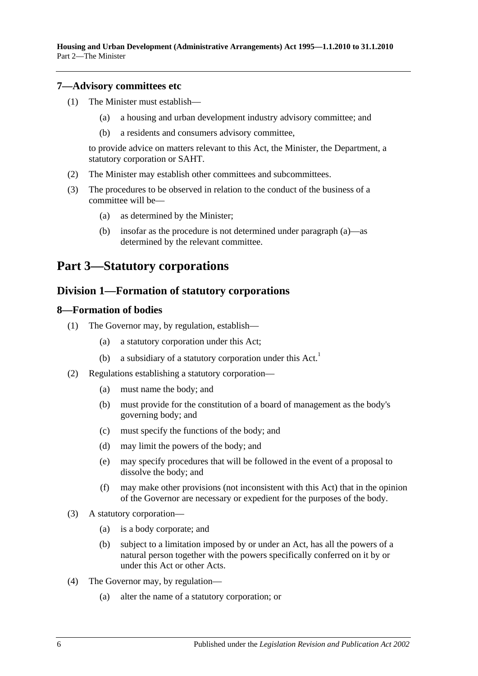**Housing and Urban Development (Administrative Arrangements) Act 1995—1.1.2010 to 31.1.2010** Part 2—The Minister

#### <span id="page-5-0"></span>**7—Advisory committees etc**

- (1) The Minister must establish—
	- (a) a housing and urban development industry advisory committee; and
	- (b) a residents and consumers advisory committee,

to provide advice on matters relevant to this Act, the Minister, the Department, a statutory corporation or SAHT.

- (2) The Minister may establish other committees and subcommittees.
- <span id="page-5-4"></span>(3) The procedures to be observed in relation to the conduct of the business of a committee will be—
	- (a) as determined by the Minister;
	- (b) insofar as the procedure is not determined under [paragraph](#page-5-4) (a)—as determined by the relevant committee.

## <span id="page-5-2"></span><span id="page-5-1"></span>**Part 3—Statutory corporations**

#### **Division 1—Formation of statutory corporations**

#### <span id="page-5-3"></span>**8—Formation of bodies**

- (1) The Governor may, by regulation, establish—
	- (a) a statutory corporation under this Act;
	- (b) a subsidiary of a statutory corporation under this  $Act.$ <sup>1</sup>
- <span id="page-5-6"></span>(2) Regulations establishing a statutory corporation—
	- (a) must name the body; and
	- (b) must provide for the constitution of a board of management as the body's governing body; and
	- (c) must specify the functions of the body; and
	- (d) may limit the powers of the body; and
	- (e) may specify procedures that will be followed in the event of a proposal to dissolve the body; and
	- (f) may make other provisions (not inconsistent with this Act) that in the opinion of the Governor are necessary or expedient for the purposes of the body.
- <span id="page-5-5"></span>(3) A statutory corporation—
	- (a) is a body corporate; and
	- (b) subject to a limitation imposed by or under an Act, has all the powers of a natural person together with the powers specifically conferred on it by or under this Act or other Acts.
- (4) The Governor may, by regulation—
	- (a) alter the name of a statutory corporation; or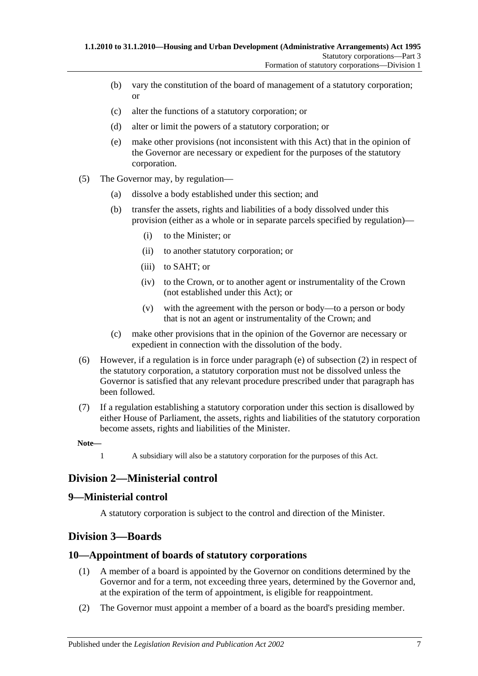- (b) vary the constitution of the board of management of a statutory corporation; or
- (c) alter the functions of a statutory corporation; or
- (d) alter or limit the powers of a statutory corporation; or
- (e) make other provisions (not inconsistent with this Act) that in the opinion of the Governor are necessary or expedient for the purposes of the statutory corporation.
- (5) The Governor may, by regulation—
	- (a) dissolve a body established under this section; and
	- (b) transfer the assets, rights and liabilities of a body dissolved under this provision (either as a whole or in separate parcels specified by regulation)—
		- (i) to the Minister; or
		- (ii) to another statutory corporation; or
		- (iii) to SAHT; or
		- (iv) to the Crown, or to another agent or instrumentality of the Crown (not established under this Act); or
		- (v) with the agreement with the person or body—to a person or body that is not an agent or instrumentality of the Crown; and
	- (c) make other provisions that in the opinion of the Governor are necessary or expedient in connection with the dissolution of the body.
- (6) However, if a regulation is in force under [paragraph](#page-5-5) (e) of [subsection](#page-5-6) (2) in respect of the statutory corporation, a statutory corporation must not be dissolved unless the Governor is satisfied that any relevant procedure prescribed under that paragraph has been followed.
- (7) If a regulation establishing a statutory corporation under this section is disallowed by either House of Parliament, the assets, rights and liabilities of the statutory corporation become assets, rights and liabilities of the Minister.

1 A subsidiary will also be a statutory corporation for the purposes of this Act.

## <span id="page-6-0"></span>**Division 2—Ministerial control**

### <span id="page-6-1"></span>**9—Ministerial control**

A statutory corporation is subject to the control and direction of the Minister.

## <span id="page-6-2"></span>**Division 3—Boards**

### <span id="page-6-3"></span>**10—Appointment of boards of statutory corporations**

- (1) A member of a board is appointed by the Governor on conditions determined by the Governor and for a term, not exceeding three years, determined by the Governor and, at the expiration of the term of appointment, is eligible for reappointment.
- (2) The Governor must appoint a member of a board as the board's presiding member.

**Note—**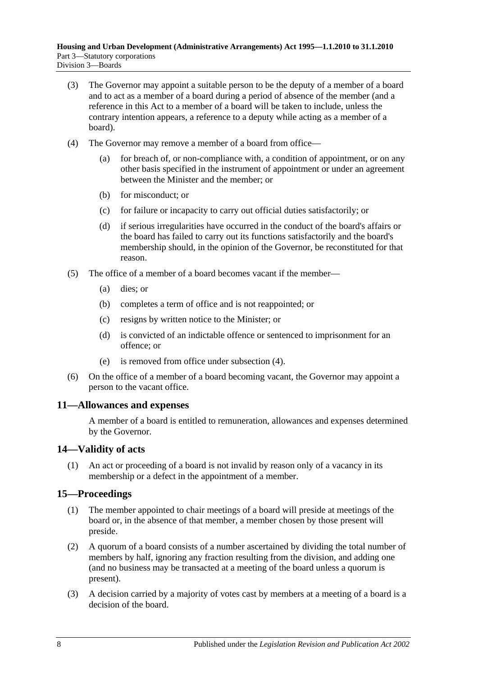- (3) The Governor may appoint a suitable person to be the deputy of a member of a board and to act as a member of a board during a period of absence of the member (and a reference in this Act to a member of a board will be taken to include, unless the contrary intention appears, a reference to a deputy while acting as a member of a board).
- <span id="page-7-3"></span>(4) The Governor may remove a member of a board from office—
	- (a) for breach of, or non-compliance with, a condition of appointment, or on any other basis specified in the instrument of appointment or under an agreement between the Minister and the member; or
	- (b) for misconduct; or
	- (c) for failure or incapacity to carry out official duties satisfactorily; or
	- (d) if serious irregularities have occurred in the conduct of the board's affairs or the board has failed to carry out its functions satisfactorily and the board's membership should, in the opinion of the Governor, be reconstituted for that reason.
- (5) The office of a member of a board becomes vacant if the member—
	- (a) dies; or
	- (b) completes a term of office and is not reappointed; or
	- (c) resigns by written notice to the Minister; or
	- (d) is convicted of an indictable offence or sentenced to imprisonment for an offence; or
	- (e) is removed from office under [subsection](#page-7-3) (4).
- (6) On the office of a member of a board becoming vacant, the Governor may appoint a person to the vacant office.

### <span id="page-7-0"></span>**11—Allowances and expenses**

A member of a board is entitled to remuneration, allowances and expenses determined by the Governor.

### <span id="page-7-1"></span>**14—Validity of acts**

(1) An act or proceeding of a board is not invalid by reason only of a vacancy in its membership or a defect in the appointment of a member.

## <span id="page-7-2"></span>**15—Proceedings**

- (1) The member appointed to chair meetings of a board will preside at meetings of the board or, in the absence of that member, a member chosen by those present will preside.
- (2) A quorum of a board consists of a number ascertained by dividing the total number of members by half, ignoring any fraction resulting from the division, and adding one (and no business may be transacted at a meeting of the board unless a quorum is present).
- (3) A decision carried by a majority of votes cast by members at a meeting of a board is a decision of the board.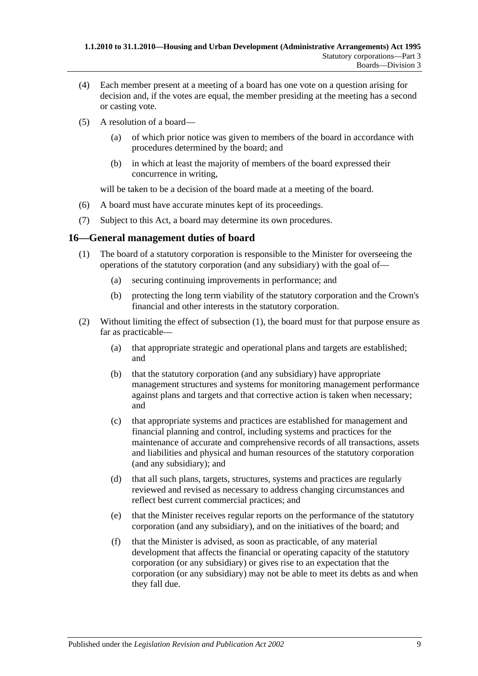- (4) Each member present at a meeting of a board has one vote on a question arising for decision and, if the votes are equal, the member presiding at the meeting has a second or casting vote.
- (5) A resolution of a board—
	- (a) of which prior notice was given to members of the board in accordance with procedures determined by the board; and
	- (b) in which at least the majority of members of the board expressed their concurrence in writing,

will be taken to be a decision of the board made at a meeting of the board.

- (6) A board must have accurate minutes kept of its proceedings.
- (7) Subject to this Act, a board may determine its own procedures.

#### <span id="page-8-1"></span><span id="page-8-0"></span>**16—General management duties of board**

- (1) The board of a statutory corporation is responsible to the Minister for overseeing the operations of the statutory corporation (and any subsidiary) with the goal of—
	- (a) securing continuing improvements in performance; and
	- (b) protecting the long term viability of the statutory corporation and the Crown's financial and other interests in the statutory corporation.
- (2) Without limiting the effect of [subsection](#page-8-1) (1), the board must for that purpose ensure as far as practicable—
	- (a) that appropriate strategic and operational plans and targets are established; and
	- (b) that the statutory corporation (and any subsidiary) have appropriate management structures and systems for monitoring management performance against plans and targets and that corrective action is taken when necessary; and
	- (c) that appropriate systems and practices are established for management and financial planning and control, including systems and practices for the maintenance of accurate and comprehensive records of all transactions, assets and liabilities and physical and human resources of the statutory corporation (and any subsidiary); and
	- (d) that all such plans, targets, structures, systems and practices are regularly reviewed and revised as necessary to address changing circumstances and reflect best current commercial practices; and
	- (e) that the Minister receives regular reports on the performance of the statutory corporation (and any subsidiary), and on the initiatives of the board; and
	- (f) that the Minister is advised, as soon as practicable, of any material development that affects the financial or operating capacity of the statutory corporation (or any subsidiary) or gives rise to an expectation that the corporation (or any subsidiary) may not be able to meet its debts as and when they fall due.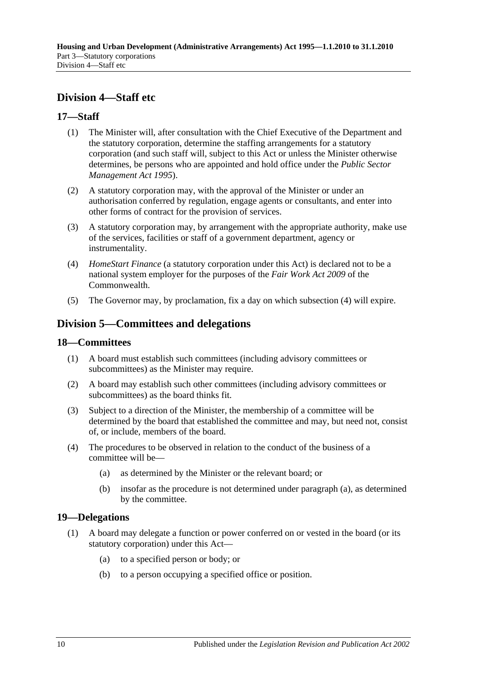## <span id="page-9-0"></span>**Division 4—Staff etc**

## <span id="page-9-1"></span>**17—Staff**

- (1) The Minister will, after consultation with the Chief Executive of the Department and the statutory corporation, determine the staffing arrangements for a statutory corporation (and such staff will, subject to this Act or unless the Minister otherwise determines, be persons who are appointed and hold office under the *[Public Sector](http://www.legislation.sa.gov.au/index.aspx?action=legref&type=act&legtitle=Public%20Sector%20Management%20Act%201995)  [Management Act](http://www.legislation.sa.gov.au/index.aspx?action=legref&type=act&legtitle=Public%20Sector%20Management%20Act%201995) 1995*).
- (2) A statutory corporation may, with the approval of the Minister or under an authorisation conferred by regulation, engage agents or consultants, and enter into other forms of contract for the provision of services.
- (3) A statutory corporation may, by arrangement with the appropriate authority, make use of the services, facilities or staff of a government department, agency or instrumentality.
- <span id="page-9-5"></span>(4) *HomeStart Finance* (a statutory corporation under this Act) is declared not to be a national system employer for the purposes of the *Fair Work Act 2009* of the Commonwealth.
- (5) The Governor may, by proclamation, fix a day on which [subsection](#page-9-5) (4) will expire.

## <span id="page-9-2"></span>**Division 5—Committees and delegations**

#### <span id="page-9-3"></span>**18—Committees**

- (1) A board must establish such committees (including advisory committees or subcommittees) as the Minister may require.
- (2) A board may establish such other committees (including advisory committees or subcommittees) as the board thinks fit.
- (3) Subject to a direction of the Minister, the membership of a committee will be determined by the board that established the committee and may, but need not, consist of, or include, members of the board.
- <span id="page-9-6"></span>(4) The procedures to be observed in relation to the conduct of the business of a committee will be—
	- (a) as determined by the Minister or the relevant board; or
	- (b) insofar as the procedure is not determined under [paragraph](#page-9-6) (a), as determined by the committee.

### <span id="page-9-4"></span>**19—Delegations**

- (1) A board may delegate a function or power conferred on or vested in the board (or its statutory corporation) under this Act—
	- (a) to a specified person or body; or
	- (b) to a person occupying a specified office or position.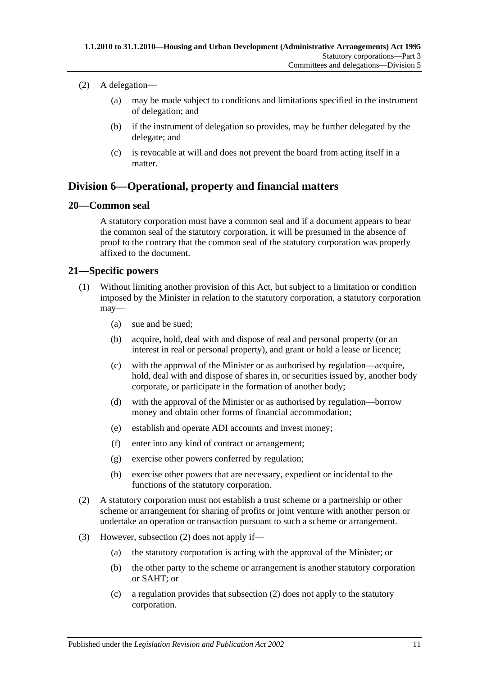#### (2) A delegation—

- (a) may be made subject to conditions and limitations specified in the instrument of delegation; and
- (b) if the instrument of delegation so provides, may be further delegated by the delegate; and
- (c) is revocable at will and does not prevent the board from acting itself in a matter.

## <span id="page-10-0"></span>**Division 6—Operational, property and financial matters**

### <span id="page-10-1"></span>**20—Common seal**

A statutory corporation must have a common seal and if a document appears to bear the common seal of the statutory corporation, it will be presumed in the absence of proof to the contrary that the common seal of the statutory corporation was properly affixed to the document.

### <span id="page-10-2"></span>**21—Specific powers**

- (1) Without limiting another provision of this Act, but subject to a limitation or condition imposed by the Minister in relation to the statutory corporation, a statutory corporation may—
	- (a) sue and be sued;
	- (b) acquire, hold, deal with and dispose of real and personal property (or an interest in real or personal property), and grant or hold a lease or licence;
	- (c) with the approval of the Minister or as authorised by regulation—acquire, hold, deal with and dispose of shares in, or securities issued by, another body corporate, or participate in the formation of another body;
	- (d) with the approval of the Minister or as authorised by regulation—borrow money and obtain other forms of financial accommodation;
	- (e) establish and operate ADI accounts and invest money;
	- (f) enter into any kind of contract or arrangement;
	- (g) exercise other powers conferred by regulation;
	- (h) exercise other powers that are necessary, expedient or incidental to the functions of the statutory corporation.
- <span id="page-10-4"></span><span id="page-10-3"></span>(2) A statutory corporation must not establish a trust scheme or a partnership or other scheme or arrangement for sharing of profits or joint venture with another person or undertake an operation or transaction pursuant to such a scheme or arrangement.
- (3) However, [subsection](#page-10-3) (2) does not apply if—
	- (a) the statutory corporation is acting with the approval of the Minister; or
	- (b) the other party to the scheme or arrangement is another statutory corporation or SAHT; or
	- (c) a regulation provides that [subsection](#page-10-3) (2) does not apply to the statutory corporation.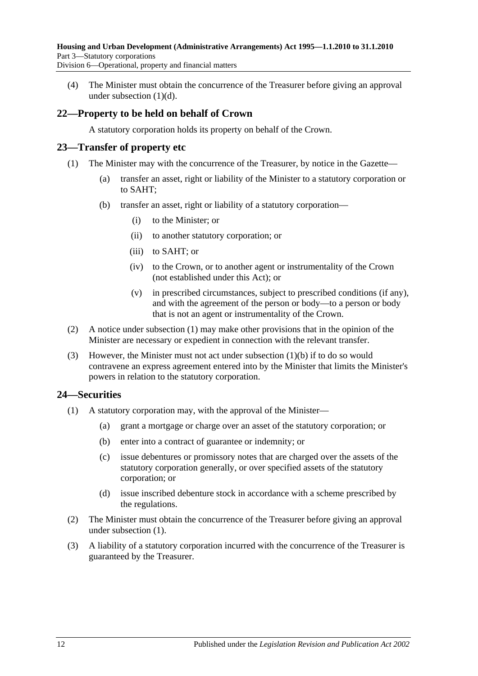(4) The Minister must obtain the concurrence of the Treasurer before giving an approval under [subsection](#page-10-4) (1)(d).

## <span id="page-11-0"></span>**22—Property to be held on behalf of Crown**

A statutory corporation holds its property on behalf of the Crown.

### <span id="page-11-3"></span><span id="page-11-1"></span>**23—Transfer of property etc**

- <span id="page-11-4"></span>(1) The Minister may with the concurrence of the Treasurer, by notice in the Gazette—
	- (a) transfer an asset, right or liability of the Minister to a statutory corporation or to SAHT;
	- (b) transfer an asset, right or liability of a statutory corporation—
		- (i) to the Minister; or
		- (ii) to another statutory corporation; or
		- (iii) to SAHT; or
		- (iv) to the Crown, or to another agent or instrumentality of the Crown (not established under this Act); or
		- (v) in prescribed circumstances, subject to prescribed conditions (if any), and with the agreement of the person or body—to a person or body that is not an agent or instrumentality of the Crown.
- (2) A notice under [subsection](#page-11-3) (1) may make other provisions that in the opinion of the Minister are necessary or expedient in connection with the relevant transfer.
- (3) However, the Minister must not act under [subsection](#page-11-4) (1)(b) if to do so would contravene an express agreement entered into by the Minister that limits the Minister's powers in relation to the statutory corporation.

## <span id="page-11-5"></span><span id="page-11-2"></span>**24—Securities**

- (1) A statutory corporation may, with the approval of the Minister—
	- (a) grant a mortgage or charge over an asset of the statutory corporation; or
	- (b) enter into a contract of guarantee or indemnity; or
	- (c) issue debentures or promissory notes that are charged over the assets of the statutory corporation generally, or over specified assets of the statutory corporation; or
	- (d) issue inscribed debenture stock in accordance with a scheme prescribed by the regulations.
- (2) The Minister must obtain the concurrence of the Treasurer before giving an approval under [subsection](#page-11-5) (1).
- (3) A liability of a statutory corporation incurred with the concurrence of the Treasurer is guaranteed by the Treasurer.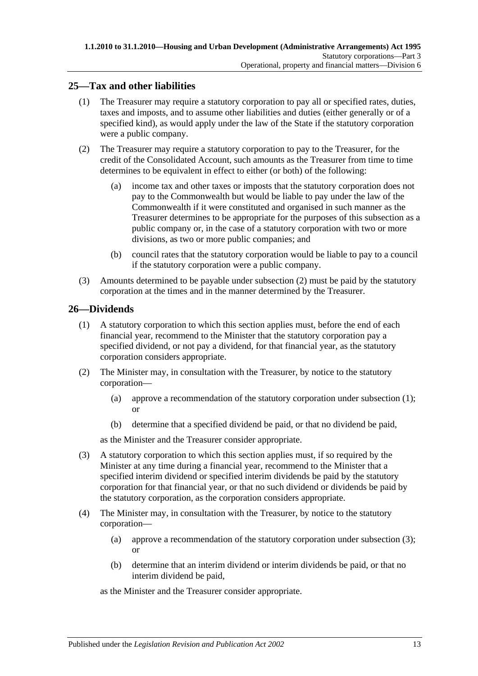## <span id="page-12-0"></span>**25—Tax and other liabilities**

- (1) The Treasurer may require a statutory corporation to pay all or specified rates, duties, taxes and imposts, and to assume other liabilities and duties (either generally or of a specified kind), as would apply under the law of the State if the statutory corporation were a public company.
- <span id="page-12-2"></span>(2) The Treasurer may require a statutory corporation to pay to the Treasurer, for the credit of the Consolidated Account, such amounts as the Treasurer from time to time determines to be equivalent in effect to either (or both) of the following:
	- (a) income tax and other taxes or imposts that the statutory corporation does not pay to the Commonwealth but would be liable to pay under the law of the Commonwealth if it were constituted and organised in such manner as the Treasurer determines to be appropriate for the purposes of this subsection as a public company or, in the case of a statutory corporation with two or more divisions, as two or more public companies; and
	- (b) council rates that the statutory corporation would be liable to pay to a council if the statutory corporation were a public company.
- (3) Amounts determined to be payable under [subsection](#page-12-2) (2) must be paid by the statutory corporation at the times and in the manner determined by the Treasurer.

#### <span id="page-12-3"></span><span id="page-12-1"></span>**26—Dividends**

- (1) A statutory corporation to which this section applies must, before the end of each financial year, recommend to the Minister that the statutory corporation pay a specified dividend, or not pay a dividend, for that financial year, as the statutory corporation considers appropriate.
- (2) The Minister may, in consultation with the Treasurer, by notice to the statutory corporation—
	- (a) approve a recommendation of the statutory corporation under [subsection](#page-12-3) (1); or
	- (b) determine that a specified dividend be paid, or that no dividend be paid,

as the Minister and the Treasurer consider appropriate.

- <span id="page-12-4"></span>(3) A statutory corporation to which this section applies must, if so required by the Minister at any time during a financial year, recommend to the Minister that a specified interim dividend or specified interim dividends be paid by the statutory corporation for that financial year, or that no such dividend or dividends be paid by the statutory corporation, as the corporation considers appropriate.
- (4) The Minister may, in consultation with the Treasurer, by notice to the statutory corporation—
	- (a) approve a recommendation of the statutory corporation under [subsection](#page-12-4) (3); or
	- (b) determine that an interim dividend or interim dividends be paid, or that no interim dividend be paid,

as the Minister and the Treasurer consider appropriate.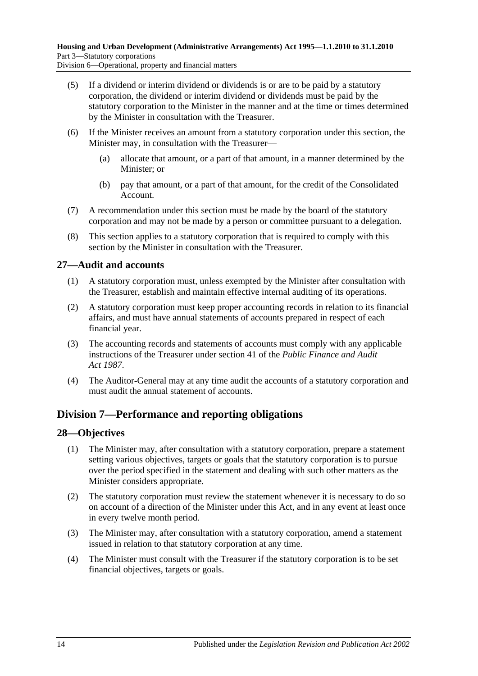Division 6—Operational, property and financial matters

- (5) If a dividend or interim dividend or dividends is or are to be paid by a statutory corporation, the dividend or interim dividend or dividends must be paid by the statutory corporation to the Minister in the manner and at the time or times determined by the Minister in consultation with the Treasurer.
- (6) If the Minister receives an amount from a statutory corporation under this section, the Minister may, in consultation with the Treasurer—
	- (a) allocate that amount, or a part of that amount, in a manner determined by the Minister; or
	- (b) pay that amount, or a part of that amount, for the credit of the Consolidated Account.
- (7) A recommendation under this section must be made by the board of the statutory corporation and may not be made by a person or committee pursuant to a delegation.
- (8) This section applies to a statutory corporation that is required to comply with this section by the Minister in consultation with the Treasurer.

### <span id="page-13-0"></span>**27—Audit and accounts**

- (1) A statutory corporation must, unless exempted by the Minister after consultation with the Treasurer, establish and maintain effective internal auditing of its operations.
- (2) A statutory corporation must keep proper accounting records in relation to its financial affairs, and must have annual statements of accounts prepared in respect of each financial year.
- (3) The accounting records and statements of accounts must comply with any applicable instructions of the Treasurer under section 41 of the *[Public Finance and Audit](http://www.legislation.sa.gov.au/index.aspx?action=legref&type=act&legtitle=Public%20Finance%20and%20Audit%20Act%201987)  Act [1987](http://www.legislation.sa.gov.au/index.aspx?action=legref&type=act&legtitle=Public%20Finance%20and%20Audit%20Act%201987)*.
- (4) The Auditor-General may at any time audit the accounts of a statutory corporation and must audit the annual statement of accounts.

## <span id="page-13-1"></span>**Division 7—Performance and reporting obligations**

### <span id="page-13-2"></span>**28—Objectives**

- (1) The Minister may, after consultation with a statutory corporation, prepare a statement setting various objectives, targets or goals that the statutory corporation is to pursue over the period specified in the statement and dealing with such other matters as the Minister considers appropriate.
- (2) The statutory corporation must review the statement whenever it is necessary to do so on account of a direction of the Minister under this Act, and in any event at least once in every twelve month period.
- (3) The Minister may, after consultation with a statutory corporation, amend a statement issued in relation to that statutory corporation at any time.
- (4) The Minister must consult with the Treasurer if the statutory corporation is to be set financial objectives, targets or goals.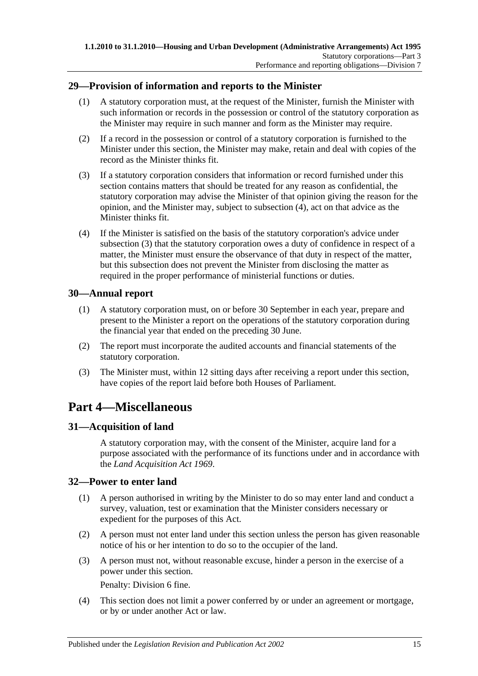## <span id="page-14-0"></span>**29—Provision of information and reports to the Minister**

- (1) A statutory corporation must, at the request of the Minister, furnish the Minister with such information or records in the possession or control of the statutory corporation as the Minister may require in such manner and form as the Minister may require.
- (2) If a record in the possession or control of a statutory corporation is furnished to the Minister under this section, the Minister may make, retain and deal with copies of the record as the Minister thinks fit.
- <span id="page-14-6"></span>(3) If a statutory corporation considers that information or record furnished under this section contains matters that should be treated for any reason as confidential, the statutory corporation may advise the Minister of that opinion giving the reason for the opinion, and the Minister may, subject to [subsection](#page-14-5) (4), act on that advice as the Minister thinks fit.
- <span id="page-14-5"></span>(4) If the Minister is satisfied on the basis of the statutory corporation's advice under [subsection](#page-14-6) (3) that the statutory corporation owes a duty of confidence in respect of a matter, the Minister must ensure the observance of that duty in respect of the matter, but this subsection does not prevent the Minister from disclosing the matter as required in the proper performance of ministerial functions or duties.

### <span id="page-14-1"></span>**30—Annual report**

- (1) A statutory corporation must, on or before 30 September in each year, prepare and present to the Minister a report on the operations of the statutory corporation during the financial year that ended on the preceding 30 June.
- (2) The report must incorporate the audited accounts and financial statements of the statutory corporation.
- (3) The Minister must, within 12 sitting days after receiving a report under this section, have copies of the report laid before both Houses of Parliament.

## <span id="page-14-2"></span>**Part 4—Miscellaneous**

## <span id="page-14-3"></span>**31—Acquisition of land**

A statutory corporation may, with the consent of the Minister, acquire land for a purpose associated with the performance of its functions under and in accordance with the *[Land Acquisition Act](http://www.legislation.sa.gov.au/index.aspx?action=legref&type=act&legtitle=Land%20Acquisition%20Act%201969) 1969*.

### <span id="page-14-4"></span>**32—Power to enter land**

- (1) A person authorised in writing by the Minister to do so may enter land and conduct a survey, valuation, test or examination that the Minister considers necessary or expedient for the purposes of this Act.
- (2) A person must not enter land under this section unless the person has given reasonable notice of his or her intention to do so to the occupier of the land.
- (3) A person must not, without reasonable excuse, hinder a person in the exercise of a power under this section.

Penalty: Division 6 fine.

(4) This section does not limit a power conferred by or under an agreement or mortgage, or by or under another Act or law.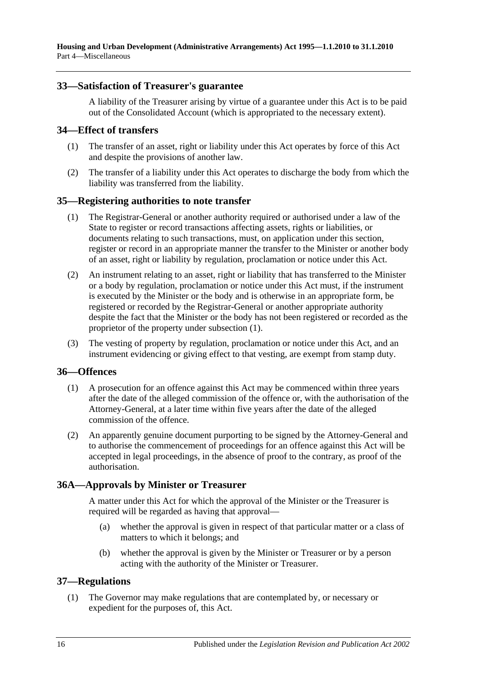#### <span id="page-15-0"></span>**33—Satisfaction of Treasurer's guarantee**

A liability of the Treasurer arising by virtue of a guarantee under this Act is to be paid out of the Consolidated Account (which is appropriated to the necessary extent).

#### <span id="page-15-1"></span>**34—Effect of transfers**

- (1) The transfer of an asset, right or liability under this Act operates by force of this Act and despite the provisions of another law.
- (2) The transfer of a liability under this Act operates to discharge the body from which the liability was transferred from the liability.

#### <span id="page-15-6"></span><span id="page-15-2"></span>**35—Registering authorities to note transfer**

- (1) The Registrar-General or another authority required or authorised under a law of the State to register or record transactions affecting assets, rights or liabilities, or documents relating to such transactions, must, on application under this section, register or record in an appropriate manner the transfer to the Minister or another body of an asset, right or liability by regulation, proclamation or notice under this Act.
- (2) An instrument relating to an asset, right or liability that has transferred to the Minister or a body by regulation, proclamation or notice under this Act must, if the instrument is executed by the Minister or the body and is otherwise in an appropriate form, be registered or recorded by the Registrar-General or another appropriate authority despite the fact that the Minister or the body has not been registered or recorded as the proprietor of the property under [subsection](#page-15-6) (1).
- (3) The vesting of property by regulation, proclamation or notice under this Act, and an instrument evidencing or giving effect to that vesting, are exempt from stamp duty.

#### <span id="page-15-3"></span>**36—Offences**

- (1) A prosecution for an offence against this Act may be commenced within three years after the date of the alleged commission of the offence or, with the authorisation of the Attorney-General, at a later time within five years after the date of the alleged commission of the offence.
- (2) An apparently genuine document purporting to be signed by the Attorney-General and to authorise the commencement of proceedings for an offence against this Act will be accepted in legal proceedings, in the absence of proof to the contrary, as proof of the authorisation.

### <span id="page-15-4"></span>**36A—Approvals by Minister or Treasurer**

A matter under this Act for which the approval of the Minister or the Treasurer is required will be regarded as having that approval—

- (a) whether the approval is given in respect of that particular matter or a class of matters to which it belongs; and
- (b) whether the approval is given by the Minister or Treasurer or by a person acting with the authority of the Minister or Treasurer.

### <span id="page-15-7"></span><span id="page-15-5"></span>**37—Regulations**

(1) The Governor may make regulations that are contemplated by, or necessary or expedient for the purposes of, this Act.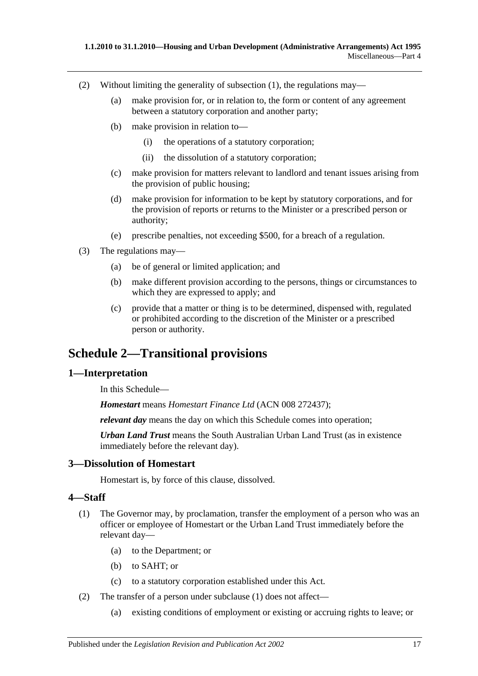- (2) Without limiting the generality of [subsection](#page-15-7) (1), the regulations may—
	- (a) make provision for, or in relation to, the form or content of any agreement between a statutory corporation and another party;
	- (b) make provision in relation to—
		- (i) the operations of a statutory corporation;
		- (ii) the dissolution of a statutory corporation;
	- (c) make provision for matters relevant to landlord and tenant issues arising from the provision of public housing;
	- (d) make provision for information to be kept by statutory corporations, and for the provision of reports or returns to the Minister or a prescribed person or authority;
	- (e) prescribe penalties, not exceeding \$500, for a breach of a regulation.
- (3) The regulations may—
	- (a) be of general or limited application; and
	- (b) make different provision according to the persons, things or circumstances to which they are expressed to apply; and
	- (c) provide that a matter or thing is to be determined, dispensed with, regulated or prohibited according to the discretion of the Minister or a prescribed person or authority.

## <span id="page-16-0"></span>**Schedule 2—Transitional provisions**

#### <span id="page-16-1"></span>**1—Interpretation**

In this Schedule—

*Homestart* means *Homestart Finance Ltd* (ACN 008 272437);

*relevant day* means the day on which this Schedule comes into operation;

*Urban Land Trust* means the South Australian Urban Land Trust (as in existence immediately before the relevant day).

### <span id="page-16-2"></span>**3—Dissolution of Homestart**

Homestart is, by force of this clause, dissolved.

#### <span id="page-16-4"></span><span id="page-16-3"></span>**4—Staff**

- (1) The Governor may, by proclamation, transfer the employment of a person who was an officer or employee of Homestart or the Urban Land Trust immediately before the relevant day—
	- (a) to the Department; or
	- (b) to SAHT; or
	- (c) to a statutory corporation established under this Act.
- (2) The transfer of a person under [subclause](#page-16-4) (1) does not affect—
	- (a) existing conditions of employment or existing or accruing rights to leave; or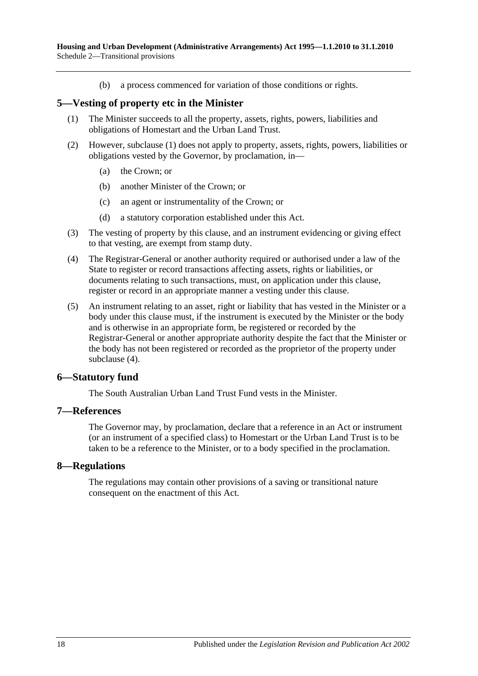(b) a process commenced for variation of those conditions or rights.

#### <span id="page-17-4"></span><span id="page-17-0"></span>**5—Vesting of property etc in the Minister**

- (1) The Minister succeeds to all the property, assets, rights, powers, liabilities and obligations of Homestart and the Urban Land Trust.
- (2) However, [subclause](#page-17-4) (1) does not apply to property, assets, rights, powers, liabilities or obligations vested by the Governor, by proclamation, in—
	- (a) the Crown; or
	- (b) another Minister of the Crown; or
	- (c) an agent or instrumentality of the Crown; or
	- (d) a statutory corporation established under this Act.
- (3) The vesting of property by this clause, and an instrument evidencing or giving effect to that vesting, are exempt from stamp duty.
- <span id="page-17-5"></span>(4) The Registrar-General or another authority required or authorised under a law of the State to register or record transactions affecting assets, rights or liabilities, or documents relating to such transactions, must, on application under this clause, register or record in an appropriate manner a vesting under this clause.
- (5) An instrument relating to an asset, right or liability that has vested in the Minister or a body under this clause must, if the instrument is executed by the Minister or the body and is otherwise in an appropriate form, be registered or recorded by the Registrar-General or another appropriate authority despite the fact that the Minister or the body has not been registered or recorded as the proprietor of the property under [subclause](#page-17-5) (4).

#### <span id="page-17-1"></span>**6—Statutory fund**

The South Australian Urban Land Trust Fund vests in the Minister.

#### <span id="page-17-2"></span>**7—References**

The Governor may, by proclamation, declare that a reference in an Act or instrument (or an instrument of a specified class) to Homestart or the Urban Land Trust is to be taken to be a reference to the Minister, or to a body specified in the proclamation.

#### <span id="page-17-3"></span>**8—Regulations**

The regulations may contain other provisions of a saving or transitional nature consequent on the enactment of this Act.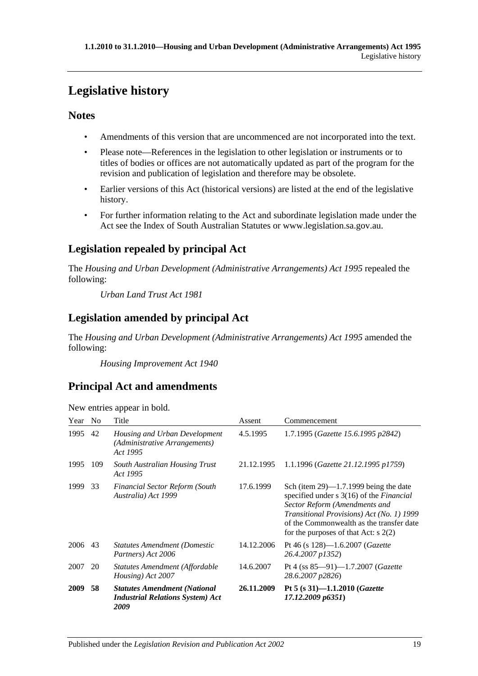# <span id="page-18-0"></span>**Legislative history**

## **Notes**

- Amendments of this version that are uncommenced are not incorporated into the text.
- Please note—References in the legislation to other legislation or instruments or to titles of bodies or offices are not automatically updated as part of the program for the revision and publication of legislation and therefore may be obsolete.
- Earlier versions of this Act (historical versions) are listed at the end of the legislative history.
- For further information relating to the Act and subordinate legislation made under the Act see the Index of South Australian Statutes or www.legislation.sa.gov.au.

## **Legislation repealed by principal Act**

The *Housing and Urban Development (Administrative Arrangements) Act 1995* repealed the following:

*Urban Land Trust Act 1981*

## **Legislation amended by principal Act**

The *Housing and Urban Development (Administrative Arrangements) Act 1995* amended the following:

*Housing Improvement Act 1940*

## **Principal Act and amendments**

| Year | N <sub>0</sub> | Title                                                                                  | Assent     | Commencement                                                                                                                                                                                                                                                         |
|------|----------------|----------------------------------------------------------------------------------------|------------|----------------------------------------------------------------------------------------------------------------------------------------------------------------------------------------------------------------------------------------------------------------------|
| 1995 | 42             | Housing and Urban Development<br>(Administrative Arrangements)<br>Act 1995             | 4.5.1995   | 1.7.1995 (Gazette 15.6.1995 p2842)                                                                                                                                                                                                                                   |
| 1995 | 109            | <b>South Australian Housing Trust</b><br>Act 1995                                      | 21.12.1995 | 1.1.1996 (Gazette 21.12.1995 p1759)                                                                                                                                                                                                                                  |
| 1999 | 33             | <b>Financial Sector Reform (South</b><br>Australia) Act 1999                           | 17.6.1999  | Sch (item $29$ )—1.7.1999 being the date<br>specified under $s \, 3(16)$ of the <i>Financial</i><br>Sector Reform (Amendments and<br>Transitional Provisions) Act (No. 1) 1999<br>of the Commonwealth as the transfer date<br>for the purposes of that Act: $s$ 2(2) |
| 2006 | 43             | <b>Statutes Amendment (Domestic</b><br>Partners) Act 2006                              | 14.12.2006 | Pt 46 (s $128$ )—1.6.2007 ( <i>Gazette</i><br>26.4.2007 p1352)                                                                                                                                                                                                       |
| 2007 | 20             | Statutes Amendment (Affordable<br>Housing) Act 2007                                    | 14.6.2007  | Pt 4 (ss $85-91$ )-1.7.2007 ( <i>Gazette</i><br>28.6.2007 p2826)                                                                                                                                                                                                     |
| 2009 | 58             | <b>Statutes Amendment (National</b><br><b>Industrial Relations System) Act</b><br>2009 | 26.11.2009 | Pt 5 (s 31)-1.1.2010 (Gazette<br>17.12.2009 p6351)                                                                                                                                                                                                                   |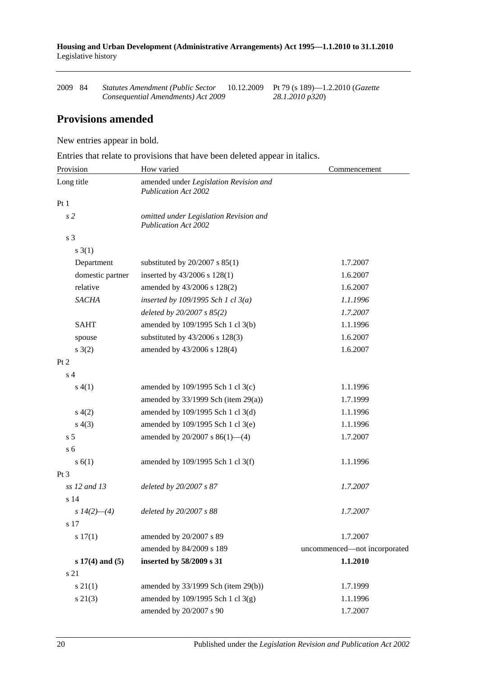**Housing and Urban Development (Administrative Arrangements) Act 1995—1.1.2010 to 31.1.2010** Legislative history

| 2009 84 | Statutes Amendment (Public Sector  | 10.12.2009 Pt 79 (s 189)—1.2.2010 ( <i>Gazette</i> |
|---------|------------------------------------|----------------------------------------------------|
|         | Consequential Amendments) Act 2009 | 28.1.2010 p320)                                    |

## **Provisions amended**

New entries appear in bold.

Entries that relate to provisions that have been deleted appear in italics.

| Provision           | How varied                                                            | Commencement                 |  |
|---------------------|-----------------------------------------------------------------------|------------------------------|--|
| Long title          | amended under Legislation Revision and<br><b>Publication Act 2002</b> |                              |  |
| Pt1                 |                                                                       |                              |  |
| s <sub>2</sub>      | omitted under Legislation Revision and<br><b>Publication Act 2002</b> |                              |  |
| s <sub>3</sub>      |                                                                       |                              |  |
| $s \; 3(1)$         |                                                                       |                              |  |
| Department          | substituted by $20/2007$ s $85(1)$                                    | 1.7.2007                     |  |
| domestic partner    | inserted by 43/2006 s 128(1)                                          | 1.6.2007                     |  |
| relative            | amended by 43/2006 s 128(2)                                           | 1.6.2007                     |  |
| <b>SACHA</b>        | inserted by $109/1995$ Sch 1 cl $3(a)$                                | 1.1.1996                     |  |
|                     | deleted by $20/2007 s 85(2)$                                          | 1.7.2007                     |  |
| <b>SAHT</b>         | amended by 109/1995 Sch 1 cl 3(b)                                     | 1.1.1996                     |  |
| spouse              | substituted by $43/2006$ s $128(3)$                                   | 1.6.2007                     |  |
| $s \; 3(2)$         | amended by 43/2006 s 128(4)                                           | 1.6.2007                     |  |
| Pt 2                |                                                                       |                              |  |
| s <sub>4</sub>      |                                                                       |                              |  |
| s(4(1))             | amended by 109/1995 Sch 1 cl 3(c)                                     | 1.1.1996                     |  |
|                     | amended by $33/1999$ Sch (item 29(a))                                 | 1.7.1999                     |  |
| s(4(2)              | amended by 109/1995 Sch 1 cl 3(d)                                     | 1.1.1996                     |  |
| s(4(3))             | amended by 109/1995 Sch 1 cl 3(e)                                     | 1.1.1996                     |  |
| s <sub>5</sub>      | amended by $20/2007$ s $86(1)$ —(4)                                   | 1.7.2007                     |  |
| s <sub>6</sub>      |                                                                       |                              |  |
| s(6(1))             | amended by 109/1995 Sch 1 cl 3(f)                                     | 1.1.1996                     |  |
| $Pt\,3$             |                                                                       |                              |  |
| ss 12 and 13        | deleted by 20/2007 s 87                                               | 1.7.2007                     |  |
| s <sub>14</sub>     |                                                                       |                              |  |
| s $14(2)$ —(4)      | deleted by 20/2007 s 88                                               | 1.7.2007                     |  |
| s 17                |                                                                       |                              |  |
| s 17(1)             | amended by 20/2007 s 89                                               | 1.7.2007                     |  |
|                     | amended by 84/2009 s 189                                              | uncommenced-not incorporated |  |
| $s 17(4)$ and $(5)$ | inserted by 58/2009 s 31                                              | 1.1.2010                     |  |
| s 21                |                                                                       |                              |  |
| $s \, 21(1)$        | amended by $33/1999$ Sch (item 29(b))                                 | 1.7.1999                     |  |
| $s\ 21(3)$          | amended by 109/1995 Sch 1 cl 3(g)                                     | 1.1.1996                     |  |
|                     | amended by 20/2007 s 90                                               | 1.7.2007                     |  |